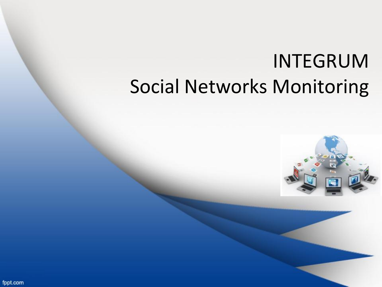## INTEGRUM Social Networks Monitoring



fppt.com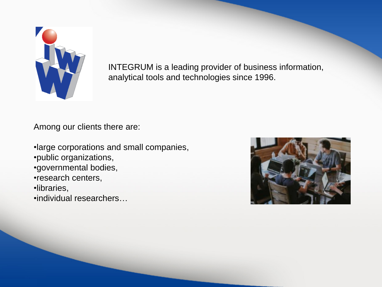

INTEGRUM is a leading provider of business information, analytical tools and technologies since 1996.

Among our clients there are:

•large corporations and small companies, •public organizations, •governmental bodies, •research centers,

•libraries,

•individual researchers…

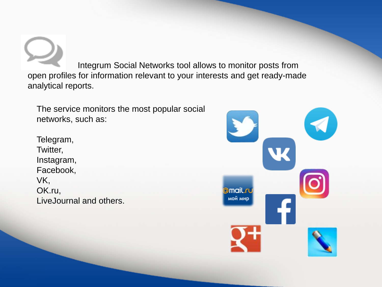Integrum Social Networks tool allows to monitor posts from open profiles for information relevant to your interests and get ready-made analytical reports.

The service monitors the most popular social networks, such as:

Telegram, Twitter, Instagram, Facebook, VK, OK.ru, LiveJournal and others.

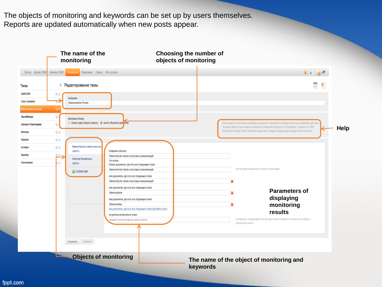The objects of monitoring and keywords can be set up by users themselves. Reports are updated automatically when new posts appear.



fppt.com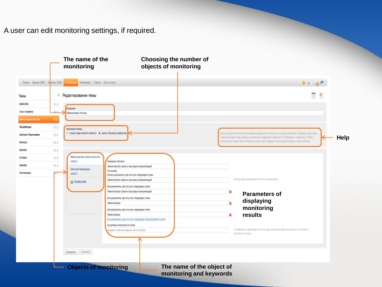A user can edit monitoring settings, if required.

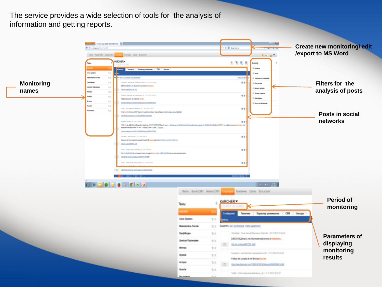The service provides a wide selection of tools for the analysis of information and getting reports.

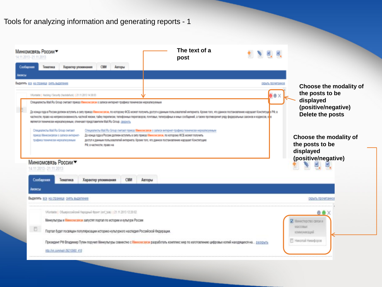| Иинкомсвязь России▼<br>4.11.2013 - 21.11.2013                                       |                                                                                                                                                                                                                                                                  |                           |            | The text of a<br>post                                                                                                                                                                                                                                                                                                                                                                                                         | <b>七、飞、邑、邑、</b>                 |                                                                                                   |
|-------------------------------------------------------------------------------------|------------------------------------------------------------------------------------------------------------------------------------------------------------------------------------------------------------------------------------------------------------------|---------------------------|------------|-------------------------------------------------------------------------------------------------------------------------------------------------------------------------------------------------------------------------------------------------------------------------------------------------------------------------------------------------------------------------------------------------------------------------------|---------------------------------|---------------------------------------------------------------------------------------------------|
| Сообщения<br>Тематика                                                               | Характер упоминания                                                                                                                                                                                                                                              | <b>CMM</b>                | Авторы     |                                                                                                                                                                                                                                                                                                                                                                                                                               |                                 |                                                                                                   |
|                                                                                     |                                                                                                                                                                                                                                                                  |                           |            |                                                                                                                                                                                                                                                                                                                                                                                                                               |                                 |                                                                                                   |
| <b>NORRATH</b> BOR HR CTORHAUR OHAT BILDRORHAM                                      | Wortalde   Hacking / Security (hackdafuck)   21.11.2013 14:38:03<br>Специалисты Mail Ru Group считают приказ Минкомсвязи о записи интернет-трафика технически нереализуемым<br>является технически нереализуемым, отмечают представители Mail Ru Group. свернуть |                           |            | До конца пода в России должен вступить в силу приказ Минионсексии, по которому ФСБ может получить доступ к данным пользователей интернета. Кроме того, что данное постановление нарушает Конституци <mark>о</mark> РФ, в<br>частности, право на неприкосновенность частной жизни, тайну переписки, тепефонных переповоров, почтовых, тепефофины и иных сообщений, а также противоренит ряду федеральные законов и кодексов, о | <b>ОТЫЛЬ ПОЛИГАННО</b><br>e e x | Choose the modality of<br>the posts to be<br>displayed<br>(positive/negative)<br>Delete the posts |
| Специалисты Mail Ru Group считают<br>Минкомсвязь России▼<br>14.11.2013 - 21.11.2013 | приказ Минкомсвязи о записи интернет-<br>трафика технически нереализуемым                                                                                                                                                                                        | РФ, в частности, право на |            | Специалисты Mail Ru Group очитают приказ Минкомсвязи о записи интернет-трафика технически нереализуемым<br>До конца года в России должен вступить в силу приказ Минкомсвязи, по которому ФСБ может получить<br>доступ к данным пользователей интернета. Кроме того, что данное постановление нарушает Конституцию                                                                                                             |                                 | Choose the modality of<br>the posts to be<br>displayed<br>(positive/negative)                     |
| Сообщения                                                                           | Тематика                                                                                                                                                                                                                                                         | Характер упоминания       | <b>CMM</b> | Авторы                                                                                                                                                                                                                                                                                                                                                                                                                        |                                 |                                                                                                   |
| Анонсы                                                                              |                                                                                                                                                                                                                                                                  |                           |            |                                                                                                                                                                                                                                                                                                                                                                                                                               |                                 |                                                                                                   |
|                                                                                     | Выделять все на странице снять выделение                                                                                                                                                                                                                         |                           |            |                                                                                                                                                                                                                                                                                                                                                                                                                               |                                 | охрыть прочитанно                                                                                 |
|                                                                                     |                                                                                                                                                                                                                                                                  |                           |            |                                                                                                                                                                                                                                                                                                                                                                                                                               |                                 |                                                                                                   |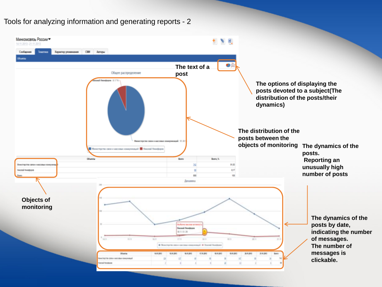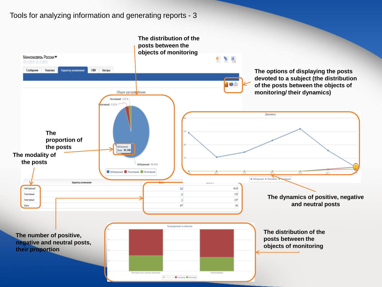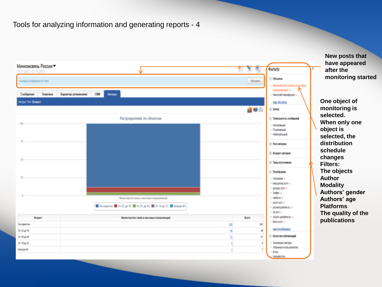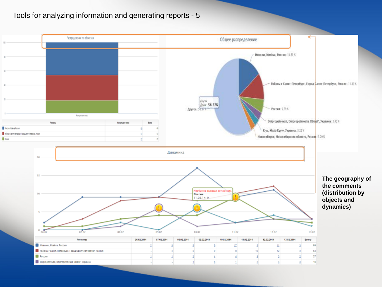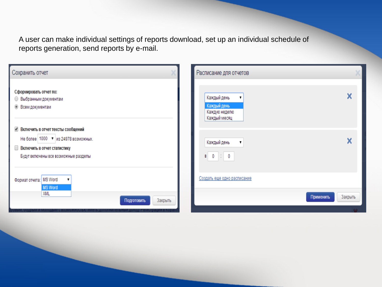A user can make individual settings of reports download, set up an individual schedule of reports generation, send reports by e-mail.

| Сохранить отчет                                                                                                                                     | Расписание для отчетов                                           |         |
|-----------------------------------------------------------------------------------------------------------------------------------------------------|------------------------------------------------------------------|---------|
| Сформировать отчет по:<br><b>• Выбранным документам</b><br><b>• Всем документам</b>                                                                 | Каждый день<br>1<br>Каждый день<br>Каждую неделю<br>Каждый месяц | X       |
| ● Включить в отчет тексты сообщений<br>Не более   1000 ▼ из 24978 возможных.<br>Включить в отчет статистику<br>Будут включены все возможные разделы | Каждый день<br>$\pmb{\mathrm{v}}$<br>$0 \div 0$<br>B             | X       |
| Формат отчета:   MS Word<br>Ţ<br><b>MS Word</b><br>XIML                                                                                             | Создать еще одно расписание                                      |         |
| Закрыть<br>Подготовить                                                                                                                              | Применить                                                        | Закрыть |